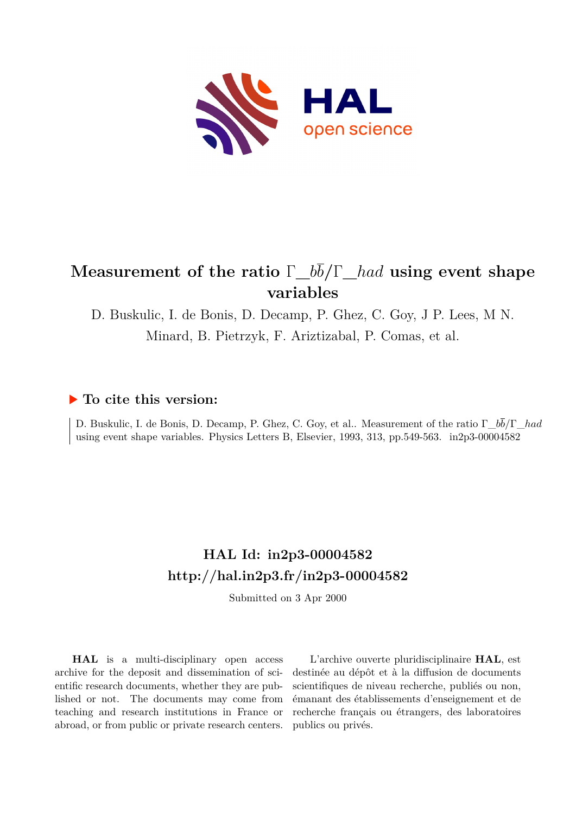

# **Measurement of the ratio** Γ**\_***bb***/**Γ**\_***had* **using event shape variables**

D. Buskulic, I. de Bonis, D. Decamp, P. Ghez, C. Goy, J P. Lees, M N. Minard, B. Pietrzyk, F. Ariztizabal, P. Comas, et al.

### **To cite this version:**

D. Buskulic, I. de Bonis, D. Decamp, P. Ghez, C. Goy, et al.. Measurement of the ratio Γ\_*bb*/Γ\_*had* using event shape variables. Physics Letters B, Elsevier, 1993, 313, pp.549-563. in2p3-00004582

# **HAL Id: in2p3-00004582 <http://hal.in2p3.fr/in2p3-00004582>**

Submitted on 3 Apr 2000

**HAL** is a multi-disciplinary open access archive for the deposit and dissemination of scientific research documents, whether they are published or not. The documents may come from teaching and research institutions in France or abroad, or from public or private research centers.

L'archive ouverte pluridisciplinaire **HAL**, est destinée au dépôt et à la diffusion de documents scientifiques de niveau recherche, publiés ou non, émanant des établissements d'enseignement et de recherche français ou étrangers, des laboratoires publics ou privés.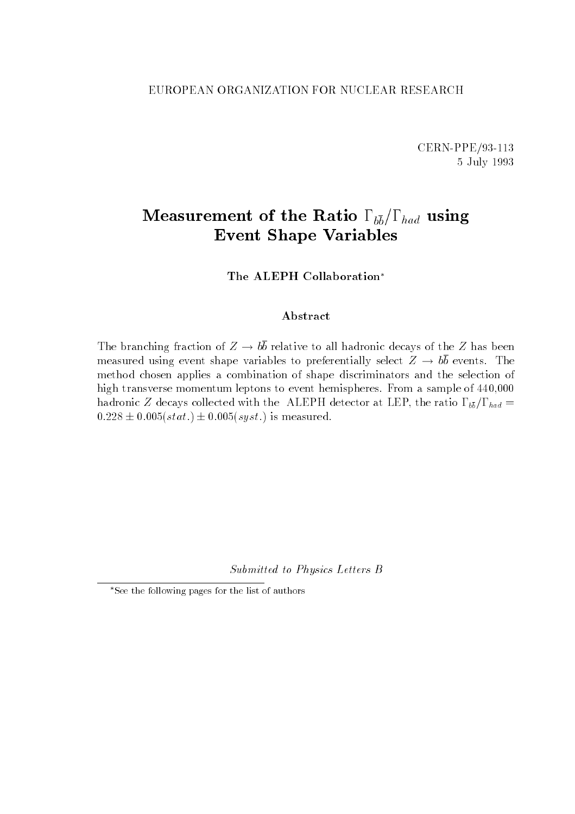CERN-PPE/93-113 5 July 1993

# $\frac{1}{100}$  between the Ratio below by  $\frac{1}{100}$  by  $\frac{1}{100}$  below  $\frac{1}{100}$ Event Shape Variables

The ALEPH Collaboration

#### Abstract

The branching fraction of  $Z \to b\overline{b}$  relative to all hadronic decays of the Z has been measured using event shape variables to preferentially select  $Z \rightarrow b\overline{b}$  events. The method chosen applies a combination of shape discriminators and the selection of high transverse momentum leptons to event hemispheres. From a sample of 440,000 hadronic Z decays collected with the ALEPH detector at LEP, the ratio  $\Gamma_{b\bar{b}}/\Gamma_{had} =$  $0.228 \pm 0.005(stat.) \pm 0.005(syst.)$  is measured.

Submitted to Physics Letters B

See the following pages for the list of authors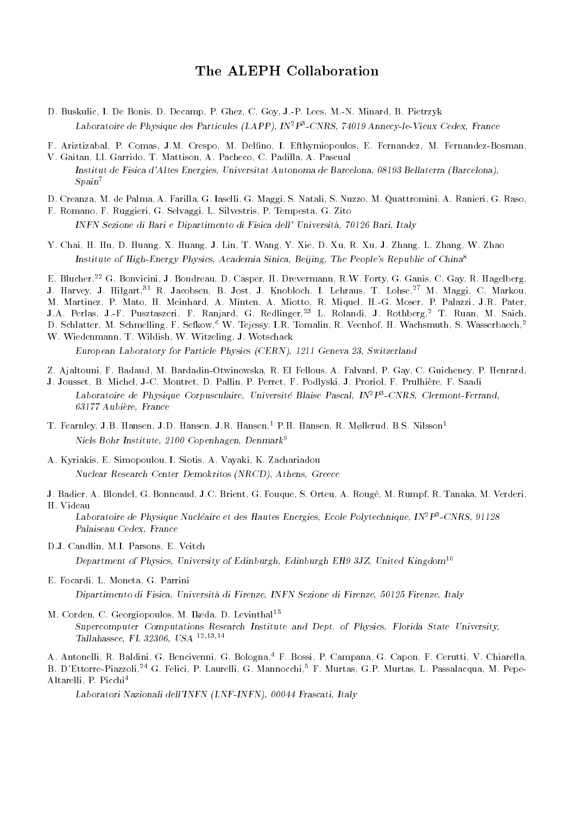#### The ALEPH Collaboration

- D. Buskulic, I. De Bonis, D. Decamp, P. Ghez, C. Goy, J.-P. Lees, M.-N. Minard, B. Pietrzyk Laboratoire de Physique des Particules (LAPP), IN2P3 -CNRS, 74019 Annecy-le-Vieux Cedex, France
- F. Ariztizabal, P. Comas, J.M. Crespo, M. Delfino, I. Efthymiopoulos, E. Fernandez, M. Fernandez-Bosman,
- V. Gaitan, Ll. Garrido, T. Mattison, A. Pacheco, C. Padilla, A. Pascual Institut de Fisica d'Altes Energies, Universitat Autonoma de Barcelona, 08193 Bellaterra (Barcelona),  $Span<sup>7</sup>$
- D. Creanza, M. de Palma, A. Farilla, G. Iaselli, G. Maggi, S. Natali, S. Nuzzo, M. Quattromini, A. Ranieri, G. Raso,
- F. Romano, F. Ruggieri, G. Selvaggi, L. Silvestris, P. Tempesta, G. Zito INFN Sezione di Bari e Dipartimento di Fisica dell' Universita, 70126 Bari, Italy
- Y. Chai, H. Hu, D. Huang, X. Huang, J. Lin, T. Wang, Y. Xie, D. Xu, R. Xu, J. Zhang, L. Zhang, W. Zhao Institute of High-Energy Physics, Academia Sinica, Beijing, The People's Republic of China<sup>8</sup>
- E. Blucher,<sup>22</sup> G. Bonvicini, J. Boudreau, D. Casper, H. Drevermann, R.W. Forty, G. Ganis, C. Gay, R. Hagelberg, J. Harvey, J. Hilgart,<sup>31</sup> R. Jacobsen, B. Jost, J. Knobloch, I. Lehraus, T. Lohse,<sup>27</sup> M. Maggi, C. Markou, M. Martinez, P. Mato, H. Meinhard, A. Minten, A. Miotto, R. Miquel, H.-G. Moser, P. Palazzi, J.R. Pater, J.A. Perlas, J.-F. Pusztaszeri, F. Ranjard, G. Redlinger,<sup>23</sup> L. Rolandi, J. Rothberg,<sup>2</sup> T. Ruan, M. Saich, D. Schlatter, M. Schmelling, F. Sefkow,<sup>6</sup> W. Tejessy, I.R. Tomalin, R. Veenhof, H. Wachsmuth, S. Wasserbaech,<sup>2</sup> W. Wiedenmann, T. Wildish, W. Witzeling, J. Wotschack

European Laboratory for Particle Physics (CERN), 1211 Geneva 23, Switzerland

- Z. Ajaltouni, F. Badaud, M. Bardadin-Otwinowska, R. El Fellous, A. Falvard, P. Gay, C. Guicheney, P. Henrard,
- J. Jousset, B. Michel, J-C. Montret, D. Pallin, P. Perret, F. Podlyski, J. Proriol, F. Prulhiere, F. Saadi Laboratoire de Physique Corpusculaire, Universite Blaise Pascal, INTP-CNRS, Clermont-Ferrand, 63177 Aubiere, France
- T. Fearnley, J.B. Hansen, J.D. Hansen, J.R. Hansen,<sup>1</sup> P.H. Hansen, R. Møllerud, B.S. Nilsson<sup>1</sup> Niels Bohr Institute, 2100 Copenhagen, Denmark<sup>9</sup>
- A. Kyriakis, E. Simopoulou, I. Siotis, A. Vayaki, K. Zachariadou Nuclear Research Center Demokritos (NRCD), Athens, Greece
- J. Badier, A. Blondel, G. Bonneaud, J.C. Brient, G. Fouque, S. Orteu, A. Rouge, M. Rumpf, R. Tanaka, M. Verderi, H. Videau

Laboratoire de Physique Nucleaire et des Hautes Energies, Ecole Polytechnique, IN<sup>-</sup>P<sup>-</sup>-CNRS, 91128 Palaiseau Cedex, France

D.J. Candlin, M.I. Parsons, E. Veitch

Department of Physics, University of Edinburgh, Edinburgh EH9 3JZ, United Kingdom<sup>10</sup>

E. Focardi, L. Moneta, G. Parrini

Dipartimento di Fisica, Universita di Firenze, INFN Sezione di Firenze, 50125 Firenze, Italy

M. Corden, C. Georgiopoulos, M. Ikeda, D. Levinthal<sup>15</sup> Supercomputer Computations Research Institute and Dept. of Physics, Florida State University, Tallahassee, FL 32306, USA 12;13;14

A. Antonelli, R. Baldini, G. Bencivenni, G. Bologna,<sup>4</sup> F. Bossi, P. Campana, G. Capon, F. Cerutti, V. Chiarella, B. D'Ettorre-Piazzoli,24 G. Felici, P. Laurelli, G. Mannocchi,5 F. Murtas, G.P. Murtas, L. Passalacqua, M. Pepe-Altarelli, P. Picchi4

Laboratori Nazionali dell'INFN (LNF-INFN), 00044 Frascati, Italy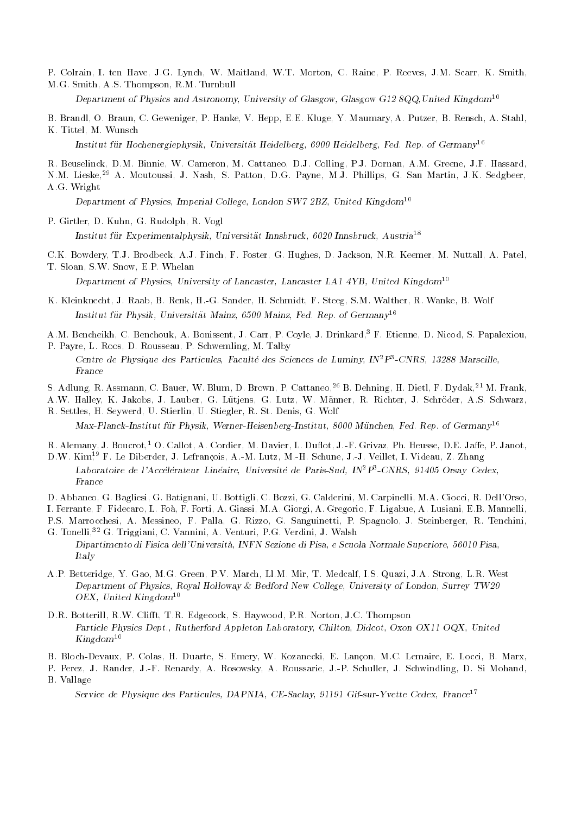P. Colrain, I. ten Have, J.G. Lynch, W. Maitland, W.T. Morton, C. Raine, P. Reeves, J.M. Scarr, K. Smith, M.G. Smith, A.S. Thompson, R.M. Turnbull

Department of Physics and Astronomy, University of Glasgow, Glasgow G12 8QQ, United Kingdom<sup>10</sup>

- B. Brandl, O. Braun, C. Geweniger, P. Hanke, V. Hepp, E.E. Kluge, Y. Maumary, A. Putzer, B. Rensch, A. Stahl,
- K. Tittel, M. Wunsch Institut für Hochenergiephysik, Universität Heidelberg, 6900 Heidelberg, Fed. Rep. of Germany<sup>16</sup>
- R. Beuselinck, D.M. Binnie, W. Cameron, M. Cattaneo, D.J. Colling, P.J. Dornan, A.M. Greene, J.F. Hassard, N.M. Lieske,<sup>29</sup> A. Moutoussi, J. Nash, S. Patton, D.G. Payne, M.J. Phillips, G. San Martin, J.K. Sedgbeer,
- A.G. Wright

Department of Physics, Imperial College, London SW7 2BZ, United Kingdom<sup>10</sup>

P. Girtler, D. Kuhn, G. Rudolph, R. Vogl

Institut fur Experimentalphysik, Universitat Innsbruck, 6020 Innsbruck, Austria<sup>18</sup>

C.K. Bowdery, T.J. Brodbeck, A.J. Finch, F. Foster, G. Hughes, D. Jackson, N.R. Keemer, M. Nuttall, A. Patel, T. Sloan, S.W. Snow, E.P. Whelan

Department of Physics, University of Lancaster, Lancaster LA1 4YB, United Kingdom<sup>10</sup>

- K. Kleinknecht, J. Raab, B. Renk, H.-G. Sander, H. Schmidt, F. Steeg, S.M. Walther, R. Wanke, B. Wolf Institut fur Physik, Universitat Mainz, 6500 Mainz, Fed. Rep. of Germany<sup>16</sup>
- A.M. Bencheikh, C. Benchouk, A. Bonissent, J. Carr, P. Coyle, J. Drinkard,3 F. Etienne, D. Nicod, S. Papalexiou,
- P. Payre, L. Roos, D. Rousseau, P. Schwemling, M. Talby Centre de Physique des Particules, Faculte des Sciences de Luminy, IN<sup>2</sup>P<sup>3</sup>-CNRS, 13288 Marseille,
- S. Adlung, R. Assmann, C. Bauer, W. Blum, D. Brown, P. Cattaneo,<sup>26</sup> B. Dehning, H. Dietl, F. Dydak,21 M. Frank,
- A.W. Halley, K. Jakobs, J. Lauber, G. Lutjens, G. Lutz, W. Manner, R. Richter, J. Schroder, A.S. Schwarz, R. Settles, H. Seywerd, U. Stierlin, U. Stiegler, R. St. Denis, G. Wolf

 $Max-Planck-Institut für Physik, Werner-Heisenberg-Institut, 8000 München, Fed. Rep. of Germany<sup>16</sup>$ 

- R. Alemany, J. Boucrot,<sup>1</sup> O. Callot, A. Cordier, M. Davier, L. Duflot, J.-F. Grivaz, Ph. Heusse, D.E. Jaffe, P. Janot, D.W. Kim,19 F. Le Diberder, J. Lefrancois, A.-M. Lutz, M.-H. Schune, J.-J. Veillet, I. Videau, Z. Zhang
- Laboratoire de l'Accélérateur Linéaire, Université de Paris-Sud, IN<sup>2</sup>P<sup>3</sup>-CNRS, 91405 Orsay Cedex, France
- D. Abbaneo, G. Bagliesi, G. Batignani, U. Bottigli, C. Bozzi, G. Calderini, M. Carpinelli, M.A. Ciocci, R. Dell'Orso, I. Ferrante, F. Fidecaro, L. Foa, F. Forti, A. Giassi, M.A. Giorgi, A. Gregorio, F. Ligabue, A. Lusiani, E.B. Mannelli, P.S. Marrocchesi, A. Messineo, F. Palla, G. Rizzo, G. Sanguinetti, P. Spagnolo, J. Steinberger, R. Tenchini, G. Tonelli,<sup>32</sup> G. Triggiani, C. Vannini, A. Venturi, P.G. Verdini, J. Walsh
- Dipartimento di Fisica dell'Universita, INFN Sezione di Pisa, e Scuola Normale Superiore, 56010 Pisa, Italy
- A.P. Betteridge, Y. Gao, M.G. Green, P.V. March, Ll.M. Mir, T. Medcalf, I.S. Quazi, J.A. Strong, L.R. West Department of Physics, Royal Holloway & Bedford New College, University of London, Surrey TW20 OEX, United Kingdom<sup>10</sup>
- D.R. Botterill, R.W. Clifft, T.R. Edgecock, S. Haywood, P.R. Norton, J.C. Thompson Particle Physics Dept., Rutherford Appleton Laboratory, Chilton, Didcot, Oxon OX11 OQX, United  $Kingdom^{10}$
- B. Bloch-Devaux, P. Colas, H. Duarte, S. Emery, W. Kozanecki, E. Lancon, M.C. Lemaire, E. Locci, B. Marx,
- P. Perez, J. Rander, J.-F. Renardy, A. Rosowsky, A. Roussarie, J.-P. Schuller, J. Schwindling, D. Si Mohand, B. Vallage

Service de Physique des Particules, DAPNIA, CE-Saclay, 91191 Gif-sur-Yvette Cedex, France<sup>17</sup>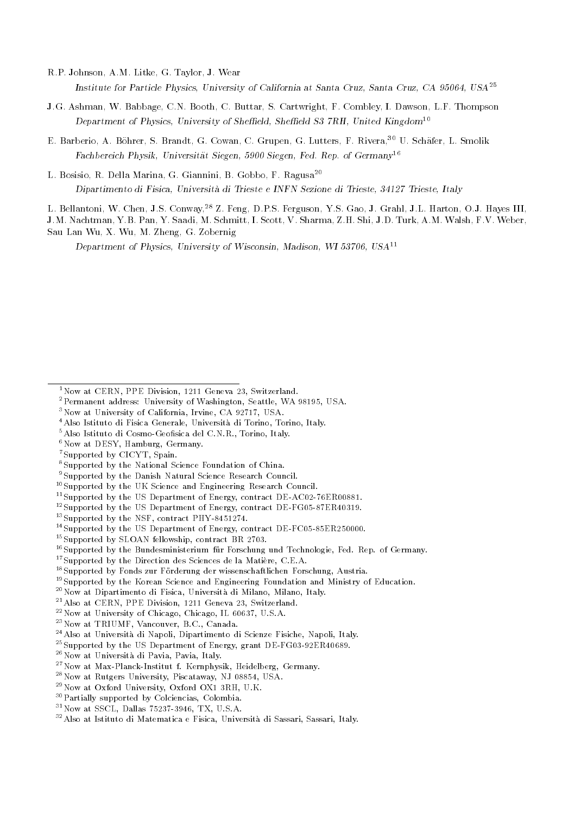Institute for Particle Physics, University of California at Santa Cruz, Santa Cruz, CA 95064, USA<sup>25</sup>

- J.G. Ashman, W. Babbage, C.N. Booth, C. Buttar, S. Cartwright, F. Combley, I. Dawson, L.F. Thompson Department of Physics, University of Sheffield, Sheffield S3 7RH, United Kingdom<sup>10</sup>
- E. Barberio, A. Bohrer, S. Brandt, G. Cowan, C. Grupen, G. Lutters, F. Rivera,30 U. Schafer, L. Smolik Fachbereich Physik, Universitat Siegen, 5900 Siegen, Fed. Rep. of Germany<sup>16</sup>

L. Bosisio, R. Della Marina, G. Giannini, B. Gobbo, F. Ragusa<sup>20</sup> Dipartimento di Fisica, Universita di Trieste e INFN Sezione di Trieste, 34127 Trieste, Italy

L. Bellantoni, W. Chen, J.S. Conway,<sup>28</sup> Z. Feng, D.P.S. Ferguson, Y.S. Gao, J. Grahl, J.L. Harton, O.J. Hayes III,

J.M. Nachtman, Y.B. Pan, Y. Saadi, M. Schmitt, I. Scott, V. Sharma, Z.H. Shi, J.D. Turk, A.M. Walsh, F.V. Weber,

Sau Lan Wu, X. Wu, M. Zheng, G. Zobernig

Department of Physics, University of Wisconsin, Madison, WI 53706, USA11

2Permanent address: University of Washington, Seattle, WA 98195, USA.

- 4Also Istituto di Fisica Generale, Universita di Torino, Torino, Italy.
- $5$ Also Istituto di Cosmo-Geofisica del C.N.R., Torino, Italy.
- $6N$ ow at DESY, Hamburg, Germany.
- 7Supported by CICYT, Spain.
- 8Supported by the National Science Foundation of China.
- 9Supported by the Danish Natural Science Research Council.
- 10Supported by the UK Science and Engineering Research Council.
- <sup>11</sup>Supported by the US Department of Energy, contract DE-AC02-76ER00881.
- <sup>12</sup>Supported by the US Department of Energy, contract DE-FG05-87ER40319.
- 13Supported by the NSF, contract PHY-8451274.
- 14Supported by the US Department of Energy, contract DE-FC05-85ER250000.
- 15Supported by SLOAN fellowship, contract BR 2703.
- $16$ Supported by the Bundesministerium für Forschung und Technologie, Fed. Rep. of Germany.
- <sup>17</sup>Supported by the Direction des Sciences de la Matière, C.E.A.
- <sup>18</sup>Supported by Fonds zur Förderung der wissenschaftlichen Forschung, Austria.
- 19Supported by the Korean Science and Engineering Foundation and Ministry of Education.
- 20Now at Dipartimento di Fisica, Universita di Milano, Milano, Italy.
- 21Also at CERN, PPE Division, 1211 Geneva 23, Switzerland.
- 22Now at University of Chicago, Chicago, IL 60637, U.S.A.
- 23Now at TRIUMF, Vancouver, B.C., Canada.
- 24Also at Universita di Napoli, Dipartimento di Scienze Fisiche, Napoli, Italy.
- 25Supported by the US Department of Energy, grant DE-FG03-92ER40689.
- 26Now at Universita di Pavia, Pavia, Italy.
- 27Now at Max-Planck-Institut f. Kernphysik, Heidelberg, Germany.
- 28Now at Rutgers University, Piscataway, NJ 08854, USA.
- 29Now at Oxford University, Oxford OX1 3RH, U.K.
- 30Partially supported by Colciencias, Colombia.
- 31Now at SSCL, Dallas 75237-3946, TX, U.S.A.
- 32Also at Istituto di Matematica e Fisica, Universita di Sassari, Sassari, Italy.

R.P. Johnson, A.M. Litke, G. Taylor, J. Wear

<sup>&</sup>lt;sup>1</sup>Now at CERN, PPE Division, 1211 Geneva 23, Switzerland.

<sup>3</sup>Now at University of California, Irvine, CA 92717, USA.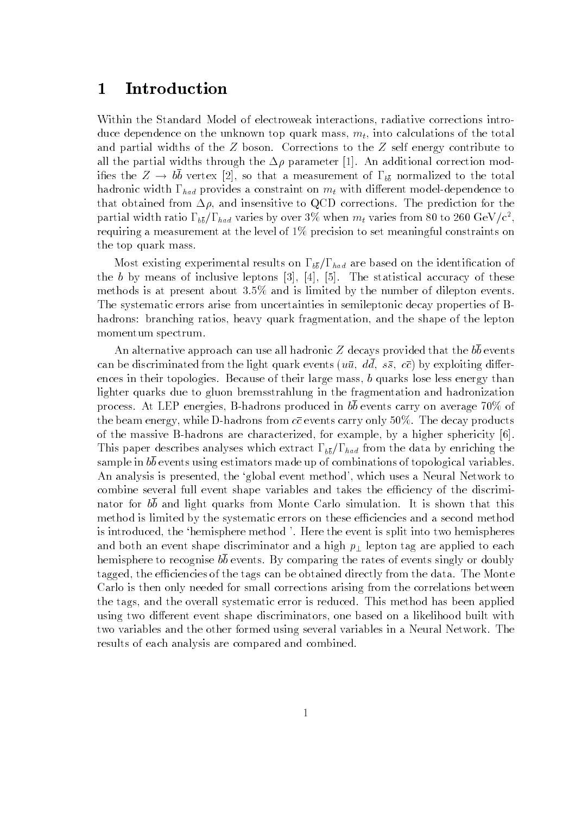## 1 Introduction

Within the Standard Model of electroweak interactions, radiative corrections introduce dependence on the unknown top quark mass,  $m_t$ , into calculations of the total and partial widths of the <sup>Z</sup> boson. Corrections to the <sup>Z</sup> self energy contribute to all the partial widths through the  $\Delta \rho$  parameter [1]. An additional correction modines the  $Z \rightarrow \omega$  vertex [2], so that a measurement or  $\Gamma_{bb}$  normalized to the total hadronic width  $\Gamma_{had}$  provides a constraint on  $m_t$  with different model-dependence to that obtained from  $\Delta \rho$ , and insensitive to QCD corrections. The prediction for the partial width ratio 1  $_{b\overline{b}}/1$   $_{had}$  varies by over 3% when  $m_t$  varies from 80 to 260 GeV/c ,  $^{-1}$ requiring a measurement at the level of 1% precision to set meaningful constraints on the top quark mass.

Most existing experimental results on  $\Gamma_{b\bar{b}}/\Gamma_{had}$  are based on the identification of the  $b$  by means of inclusive leptons  $[3]$ ,  $[4]$ ,  $[5]$ . The statistical accuracy of these methods is at present about 3.5% and is limited by the number of dilepton events. The systematic errors arise from uncertainties in semileptonic decay properties of Bhadrons: branching ratios, heavy quark fragmentation, and the shape of the lepton momentum spectrum.

An alternative approach can use all hadronic Z decays provided that the  $b\overline{b}$  events can be discriminated from the light quark events ( $u\bar{u}$ ,  $dd$ ,  $s\bar{s}$ ,  $c\bar{c}$ ) by exploiting differences in their topologies. Because of their large mass, <sup>b</sup> quarks lose less energy than lighter quarks due to gluon bremsstrahlung in the fragmentation and hadronization process. At LEP energies, B-hadrons produced in  $b\overline{b}$  events carry on average 70% of the beam energy, while D-hadrons from  $c\bar{c}$  events carry only 50%. The decay products of the massive B-hadrons are characterized, for example, by a higher sphericity [6]. This paper describes analyses which extract  $\Gamma_{b\bar{b}}/\Gamma_{had}$  from the data by enriching the sample in  $b\overline{b}$  events using estimators made up of combinations of topological variables. An analysis is presented, the `global event method', which uses a Neural Network to combine several full event shape variables and takes the efficiency of the discriminator for  $b\bar{b}$  and light quarks from Monte Carlo simulation. It is shown that this method is limited by the systematic errors on these efficiencies and a second method is introduced, the `hemisphere method '.Here the event is split into two hemispheres and both an event shape discriminator and a high  $p_{\perp}$  lepton tag are applied to each hemisphere to recognise  $b\overline{b}$  events. By comparing the rates of events singly or doubly tagged, the efficiencies of the tags can be obtained directly from the data. The Monte Carlo is then only needed for small corrections arising from the correlations between the tags, and the overall systematic error is reduced. This method has been applied using two different event shape discriminators, one based on a likelihood built with two variables and the other formed using several variables in a Neural Network. The results of each analysis are compared and combined.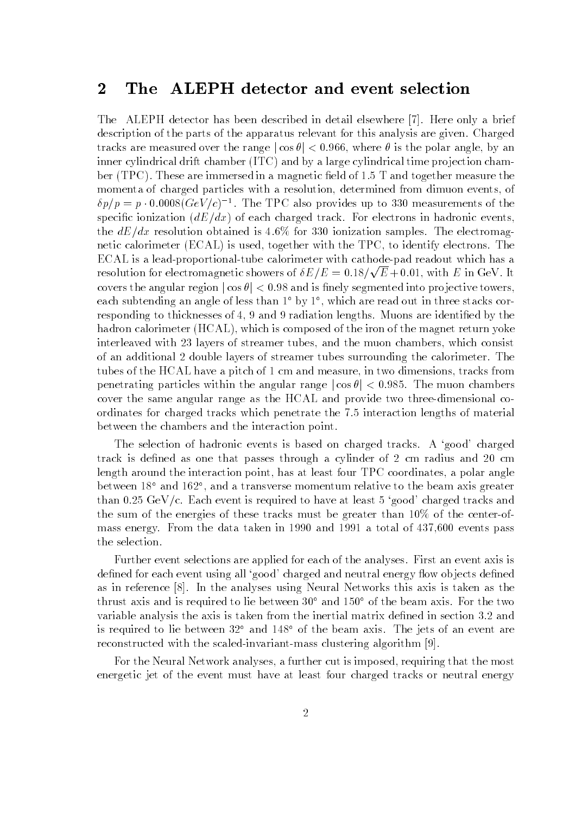### 2 The ALEPH detector and event selection

The ALEPH detector has been described in detail elsewhere [7]. Here only a brief description of the parts of the apparatus relevant for this analysis are given. Charged tracks are measured over the range  $|\cos \theta|$  < 0.966, where  $\theta$  is the polar angle, by an inner cylindrical drift chamber  $(ITC)$  and by a large cylindrical time projection chamber (TPC). These are immersed in a magnetic field of  $1.5$  T and together measure the momenta of charged particles with a resolution, determined from dimuon events, of  $\varrho p/p = p \cdot 0.0008(\text{GeV}/\text{C})$  . The TPC also provides up to 330 measurements of the specific ionization  $(dE/dx)$  of each charged track. For electrons in hadronic events, the  $dE/dx$  resolution obtained is 4.6% for 330 ionization samples. The electromagnetic calorimeter (ECAL) is used, together with the TPC, to identify electrons. The ECAL is a lead-proportional-tube calorimeter with cathode-pad readout which has a resolution for electromagnetic showers of  $\delta E/E = 0.18/\sqrt{E} + 0.01$ , with E in GeV. It covers the angular region  $|\cos \theta|$  < 0.98 and is finely segmented into projective towers. each subtending an angle of less than 1 by 1 , which are read out in three stacks corresponding to thicknesses of 4, 9 and 9 radiation lengths. Muons are identied by the hadron calorimeter (HCAL), which is composed of the iron of the magnet return yoke interleaved with 23 layers of streamer tubes, and the muon chambers, which consist of an additional 2 double layers of streamer tubes surrounding the calorimeter. The tubes of the HCAL have a pitch of 1 cm and measure, in two dimensions, tracks from penetrating particles within the angular range  $|\cos \theta|$  < 0.985. The muon chambers cover the same angular range as the HCAL and provide two three-dimensional coordinates for charged tracks which penetrate the 7.5 interaction lengths of material between the chambers and the interaction point.

The selection of hadronic events is based on charged tracks. A `good' charged track is defined as one that passes through a cylinder of 2 cm radius and 20 cm length around the interaction point, has at least four TPC coordinates, a polar angle between 18 and 162 , and a transverse momentum relative to the beam axis greater than 0.25 GeV/c. Each event is required to have at least 5 'good' charged tracks and the sum of the energies of these tracks must be greater than 10% of the center-ofmass energy. From the data taken in 1990 and 1991 a total of 437,600 events pass the selection.

Further event selections are applied for each of the analyses. First an event axis is defined for each event using all 'good' charged and neutral energy flow objects defined as in reference [8]. In the analyses using Neural Networks this axis is taken as the thrust axis and is required to lie between  $30^{\circ}$  and  $150^{\circ}$  of the beam axis. For the two variable analysis the axis is taken from the inertial matrix defined in section 3.2 and is required to lie between  $32^{\circ}$  and  $148^{\circ}$  of the beam axis. The jets of an event are reconstructed with the scaled-invariant-mass clustering algorithm [9].

For the Neural Network analyses, a further cut is imposed, requiring that the most energetic jet of the event must have at least four charged tracks or neutral energy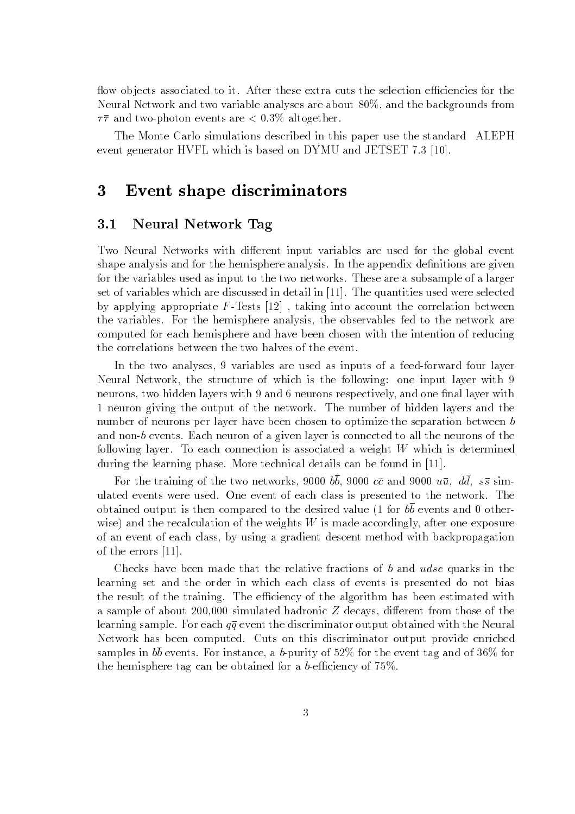flow objects associated to it. After these extra cuts the selection efficiencies for the Neural Network and two variable analyses are about 80%, and the backgrounds from  $\tau\bar{\tau}$  and two-photon events are  $< 0.3\%$  altogether.

The Monte Carlo simulations described in this paper use the standard ALEPH event generator HVFL which is based on DYMU and JETSET 7.3 [10].

## 3 Event shape discriminators

#### 3.1Neural Network Tag

Two Neural Networks with different input variables are used for the global event shape analysis and for the hemisphere analysis. In the appendix definitions are given for the variables used as input to the two networks. These are a subsample of a larger set of variables which are discussed in detail in [11]. The quantities used were selected by applying appropriate  $F$ -Tests [12], taking into account the correlation between the variables. For the hemisphere analysis, the observables fed to the network are computed for each hemisphere and have been chosen with the intention of reducing the correlations between the two halves of the event.

In the two analyses, 9 variables are used as inputs of a feed-forward four layer Neural Network, the structure of which is the following: one input layer with 9 neurons, two hidden layers with 9 and 6 neurons respectively, and one final layer with 1 neuron giving the output of the network. The number of hidden layers and the number of neurons per layer have been chosen to optimize the separation between b and non-b events. Each neuron of a given layer is connected to all the neurons of the following layer. To each connection is associated a weight <sup>W</sup> which is determined during the learning phase. More technical details can be found in [11].

For the training of the two networks, 9000  $b\bar{b}$ , 9000  $c\bar{c}$  and 9000  $u\bar{u}$ ,  $d\bar{d}$ ,  $s\bar{s}$  simulated events were used. One event of each class is presented to the network. The obtained output is then compared to the desired value (1 for  $b\bar{b}$  events and 0 otherwise) and the recalculation of the weights  $W$  is made accordingly, after one exposure of an event of each class, by using a gradient descent method with backpropagation of the errors [11].

Checks have been made that the relative fractions of b and  $udsc$  quarks in the learning set and the order in which each class of events is presented do not bias the result of the training. The efficiency of the algorithm has been estimated with a sample of about 200,000 simulated hadronic  $Z$  decays, different from those of the learning sample. For each  $q\bar{q}$  event the discriminator output obtained with the Neural Network has been computed. Cuts on this discriminator output provide enriched samples in bb events. For instance, a b-purity of  $52\%$  for the event tag and of  $36\%$  for the hemisphere tag can be obtained for a b-efficiency of  $75\%$ .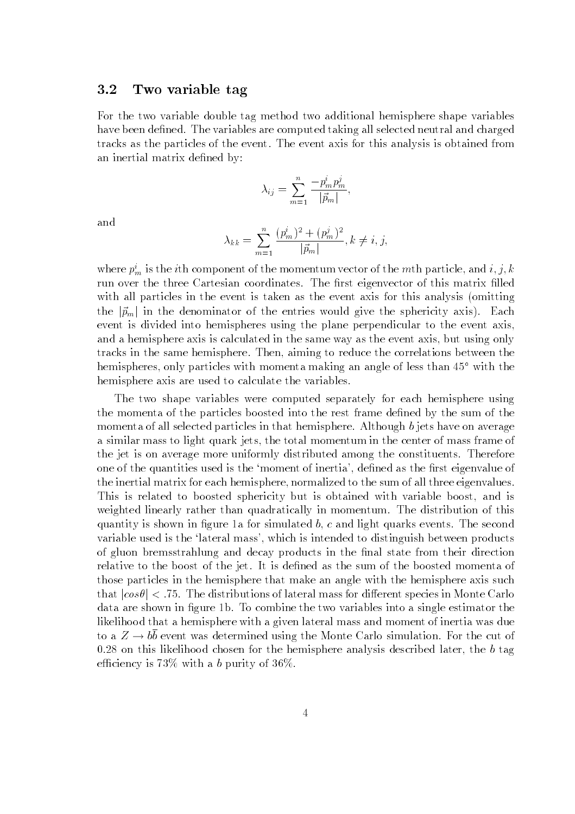#### 3.2Two variable tag

For the two variable double tag method two additional hemisphere shape variables have been defined. The variables are computed taking all selected neutral and charged tracks as the particles of the event. The event axis for this analysis is obtained from an inertial matrix defined by:

$$
\lambda_{ij} = \sum_{m=1}^n \frac{-p_m^i p_m^j}{|\vec{p}_m|},
$$

and

$$
\lambda_{kk} = \sum_{m=1}^{n} \frac{(p_m^i)^2 + (p_m^j)^2}{|\vec{p}_m|}, k \neq i, j,
$$

where  $p_m^i$  is the *i*th component of the momentum vector of the *m*th particle, and *i*, *j*, *k* run over the three Cartesian coordinates. The first eigenvector of this matrix filled with all particles in the event is taken as the event axis for this analysis (omitting the  $|\vec{p}_m|$  in the denominator of the entries would give the sphericity axis). Each event is divided into hemispheres using the plane perpendicular to the event axis, and a hemisphere axis is calculated in the same way as the event axis, but using only tracks in the same hemisphere. Then, aiming to reduce the correlations between the hemispheres, only particles with momenta making an angle of less than 45<sup>°</sup> with the hemisphere axis are used to calculate the variables.

The two shape variables were computed separately for each hemisphere using the momenta of the particles boosted into the rest frame dened by the sum of the momenta of all selected particles in that hemisphere. Although b jets have on average a similar mass to light quark jets, the total momentum in the center of mass frame of the jet is on average more uniformly distributed among the constituents. Therefore one of the quantities used is the 'moment of inertia', defined as the first eigenvalue of the inertial matrix for each hemisphere, normalized to the sum of all three eigenvalues. This is related to boosted sphericity but is obtained with variable boost, and is weighted linearly rather than quadratically in momentum. The distribution of this quantity is shown in figure 1a for simulated  $b, c$  and light quarks events. The second variable used is the `lateral mass', which is intended to distinguish between products of gluon bremsstrahlung and decay products in the final state from their direction relative to the boost of the jet. It is defined as the sum of the boosted momenta of those particles in the hemisphere that make an angle with the hemisphere axis such that  $|cos\theta| < .75$ . The distributions of lateral mass for different species in Monte Carlo data are shown in figure 1b. To combine the two variables into a single estimator the likelihood that a hemisphere with a given lateral mass and moment of inertia was due to a  $Z \to b\bar{b}$  event was determined using the Monte Carlo simulation. For the cut of  $0.28$  on this likelihood chosen for the hemisphere analysis described later, the b tag efficiency is 73% with a b purity of  $36\%$ .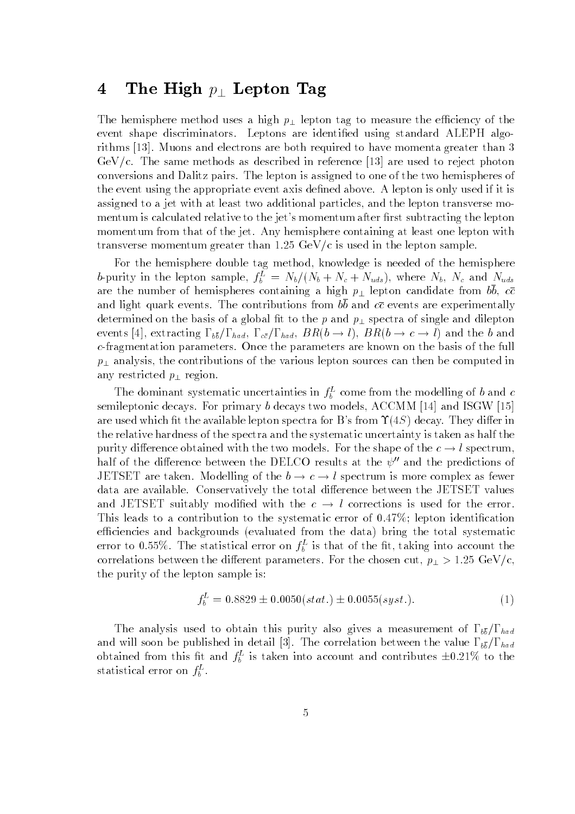## 4 The High  $p_\perp$  Lepton Tag

The hemisphere method uses a high  $p_{\perp}$  lepton tag to measure the efficiency of the event shape discriminators. Leptons are identied using standard ALEPH algorithms [13]. Muons and electrons are both required to have momenta greater than 3 GeV/c. The same methods as described in reference [13] are used to reject photon conversions and Dalitz pairs. The lepton is assigned to one of the two hemispheres of the event using the appropriate event axis defined above. A lepton is only used if it is assigned to a jet with at least two additional particles, and the lepton transverse momentum is calculated relative to the jet's momentum after first subtracting the lepton momentum from that of the jet. Any hemisphere containing at least one lepton with transverse momentum greater than  $1.25 \text{ GeV/c}$  is used in the lepton sample.

For the hemisphere double tag method, knowledge is needed of the hemisphere b-purity in the lepton sample,  $f_b^- = N_b/(N_b + N_c + N_{uds})$ , where  $N_b$ ,  $N_c$  and  $N_{uds}$ are the number of hemispheres containing a high  $p_{\perp}$  repton candidate from bo, cc and light quark events. The contributions from  $b\overline{b}$  and  $c\overline{c}$  events are experimentally determined on the basis of a global fit to the  $p$  and  $p_{\perp}$  spectra of single and dilepton events [4], extracting  $\Gamma_{b\bar{b}}/\Gamma_{had}$ ,  $\Gamma_{c\bar{c}}/\Gamma_{had}$ ,  $BR(b \to l)$ ,  $BR(b \to c \to l)$  and the b and c-fragmentation parameters. Once the parameters are known on the basis of the full  $p_{\perp}$  analysis, the contributions of the various lepton sources can then be computed in any restricted  $p_{\perp}$  region.

The dominant systematic uncertainties in  $f_b$  come from the modelling of b and c semileptonic decays. For primary b decays two models, ACCMM [14] and ISGW [15] are used which fit the available lepton spectra for B's from  $\Upsilon(4S)$  decay. They differ in the relative hardness of the spectra and the systematic uncertainty is taken as half the purity difference obtained with the two models. For the shape of the  $c \rightarrow l$  spectrum, half of the difference between the DELCO results at the  $\psi''$  and the predictions of JETSET are taken. Modelling of the  $b \to c \to l$  spectrum is more complex as fewer data are available. Conservatively the total difference between the JETSET values and JETSET suitably modified with the  $c \rightarrow l$  corrections is used for the error. This leads to a contribution to the systematic error of  $0.47\%$ ; lepton identification efficiencies and backgrounds (evaluated from the data) bring the total systematic error to 0.55%. The statistical error on  $J_b$  is that of the int, taking into account the correlations between the different parameters. For the chosen cut,  $p_{\perp} > 1.25 \text{ GeV/c}$ , the purity of the lepton sample is:

$$
f_b^L = 0.8829 \pm 0.0050(stat.) \pm 0.0055(syst.). \tag{1}
$$

The analysis used to obtain this purity also gives a measurement of  $\Gamma_{b\bar{b}}/\Gamma_{had}$ and will some best  $p$  in detail so a correlation between the value  $\alpha$  and value  $\alpha$ obtained from this in and  $J_b$  is taken into account and contributes  $\pm 0.21\%$  to the statistical error on  $\mu$  .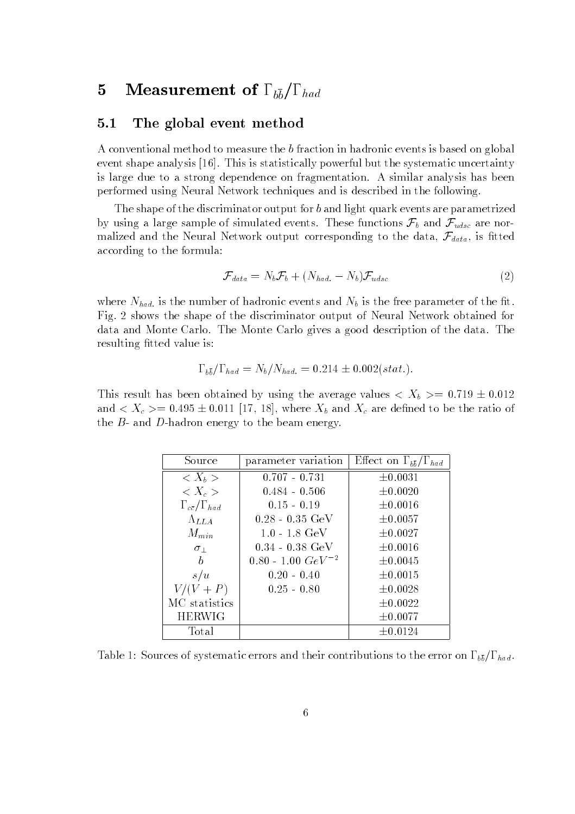# $\frac{1}{2}$  =  $\frac{1}{2}$  =  $\frac{1}{2}$  =  $\frac{1}{2}$  =  $\frac{1}{2}$  =  $\frac{1}{2}$  =  $\frac{1}{2}$  =  $\frac{1}{2}$  =  $\frac{1}{2}$  =  $\frac{1}{2}$  =  $\frac{1}{2}$  =  $\frac{1}{2}$  =  $\frac{1}{2}$  =  $\frac{1}{2}$  =  $\frac{1}{2}$  =  $\frac{1}{2}$  =  $\frac{1}{2}$  =  $\frac{1}{2}$  =  $\frac{1$

#### 5.1The global event method

A conventional method to measure the <sup>b</sup> fraction in hadronic events is based on global event shape analysis [16]. This is statistically powerful but the systematic uncertainty is large due to a strong dependence on fragmentation. A similar analysis has been performed using Neural Network techniques and is described in the following.

The shape of the discriminator output for <sup>b</sup> and light quark events are parametrized by using a large sample of simulated events. These functions  $\mathcal{F}_b$  and  $\mathcal{F}_{udsc}$  are normalized and the Neural Network output corresponding to the data,  $\mathcal{F}_{data}$ , is fitted according to the formula:

$$
\mathcal{F}_{data} = N_b \mathcal{F}_b + (N_{had.} - N_b) \mathcal{F}_{udsc}
$$
\n
$$
\tag{2}
$$

where  $N_{had.}$  is the number of hadronic events and  $N_b$  is the free parameter of the fit. Fig. 2 shows the shape of the discriminator output of Neural Network obtained for data and Monte Carlo. The Monte Carlo gives a good description of the data. The resulting fitted value is:

$$
\Gamma_{b\overline{b}}/\Gamma_{had} = N_b/N_{had.} = 0.214 \pm 0.002(stat.).
$$

This result has been obtained by using the average values  $\langle X_b \rangle = 0.719 \pm 0.012$ and  $\langle X_c \rangle = 0.495 \pm 0.011$  [17, 18], where  $X_b$  and  $X_c$  are defined to be the ratio of the  $B$ - and  $D$ -hadron energy to the beam energy.

| Source                           | parameter variation       | Effect on $\Gamma_{b\overline{b}}/\Gamma_{had}$ |
|----------------------------------|---------------------------|-------------------------------------------------|
| $\langle X_b \rangle$            | $0.707 - 0.731$           | $\pm 0.0031$                                    |
| $\langle X_c \rangle$            | $0.484 - 0.506$           | $\pm 0.0020$                                    |
| $\Gamma_{c\bar{c}}/\Gamma_{had}$ | $0.15 - 0.19$             | $\pm 0.0016$                                    |
| $\Lambda_{LLA}$                  | $0.28 - 0.35 \text{ GeV}$ | $\pm 0.0057$                                    |
| $M_{min}$                        | $1.0 - 1.8 \text{ GeV}$   | $\pm 0.0027$                                    |
| $\sigma_{\perp}$                 | $0.34 - 0.38 \text{ GeV}$ | $\pm 0.0016$                                    |
| $\boldsymbol{b}$                 | $0.80 - 1.00 \ GeV^{-2}$  | $\pm 0.0045$                                    |
| s/u                              | $0.20 - 0.40$             | $\pm 0.0015$                                    |
| $V/(V+P)$                        | $0.25 - 0.80$             | $\pm 0.0028$                                    |
| MC statistics                    |                           | $\pm 0.0022$                                    |
| <b>HERWIG</b>                    |                           | $\pm 0.0077$                                    |
| Total                            |                           | $\pm 0.0124$                                    |

Table 1: Sources of systematic errors and their contributions to the error on  $\Gamma_{b\overline{b}}/\Gamma_{had}$ .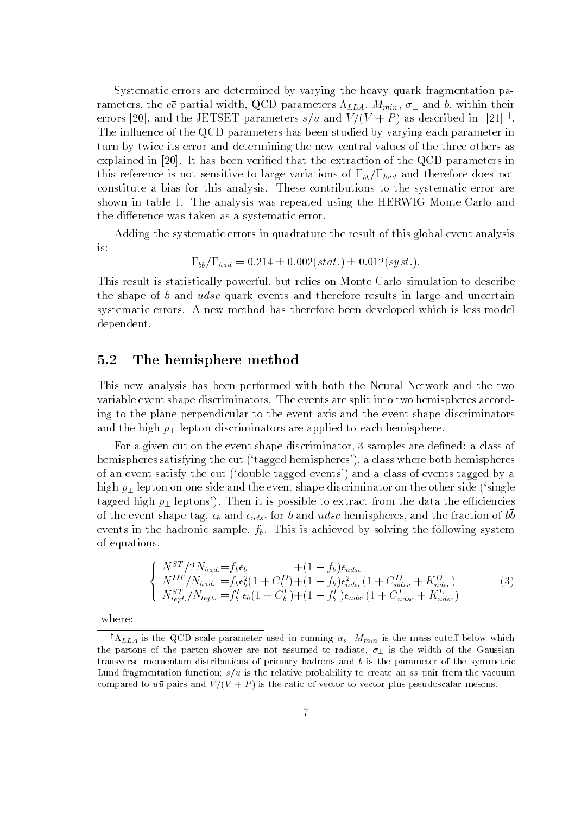Systematic errors are determined by varying the heavy quark fragmentation parameters, the  $c\bar{c}$  partial width, QCD parameters  $\Lambda_{LLA}$ ,  $M_{min}$ ,  $\sigma_{\perp}$  and b, within their errors [20], and the JETSET parameters  $s/u$  and  $V/(V + P)$  as described in [21]  $\cdot$ . The influence of the QCD parameters has been studied by varying each parameter in turn by twice its error and determining the new central values of the three others as explained in [20]. It has been veried that the extraction of the QCD parameters in the is not sensitive to large variations of boundary  $\mathcal{O}(h)$  is not and the sensitive does not be and therefore does not be an and the sensitive does not be an and the sensitive does not be an and the sensitive does no constitute a bias for this analysis. These contributions to the systematic error are shown in table 1. The analysis was repeated using the HERWIG Monte-Carlo and the difference was taken as a systematic error.

Adding the systematic errors in quadrature the result of this global event analysis is:

 $\Gamma_{b\overline{b}}/\Gamma_{had} = 0.214 \pm 0.002(stat.) \pm 0.012(syst.).$ 

This result is statistically powerful, but relies on Monte Carlo simulation to describe the shape of b and  $udsc$  quark events and therefore results in large and uncertain systematic errors. A new method has therefore been developed which is less model dependent.

#### 5.2The hemisphere method

This new analysis has been performed with both the Neural Network and the two variable event shape discriminators. The events are split into two hemispheres according to the plane perpendicular to the event axis and the event shape discriminators and the high  $p_{\perp}$  lepton discriminators are applied to each hemisphere.

For a given cut on the event shape discriminator, 3 samples are defined: a class of hemispheres satisfying the cut ('tagged hemispheres'), a class where both hemispheres of an event satisfy the cut (`double tagged events') and a class of events tagged by a high  $p_{\perp}$  lepton on one side and the event shape discriminator on the other side ('single tagged high  $p_{\perp}$  leptons'). Then it is possible to extract from the data the efficiencies of the event shape tag,  $\epsilon_b$  and  $\epsilon_{udsc}$  for b and udsc hemispheres, and the fraction of bo events in the hadronic sample,  $f<sub>b</sub>$ . This is achieved by solving the following system of equations,

$$
\begin{cases}\nN^{ST}/2N_{had} = f_b \epsilon_b + (1 - f_b) \epsilon_{udsc} \\
N^{DT}/N_{had.} = f_b \epsilon_b^2 (1 + C_b^D) + (1 - f_b) \epsilon_{udsc}^2 (1 + C_{udsc}^D + K_{udsc}^D) \\
N_{lept.}^{ST}/N_{lept.} = f_b^L \epsilon_b (1 + C_b^L) + (1 - f_b^L) \epsilon_{udsc} (1 + C_{udsc}^L + K_{udsc}^L)\n\end{cases}
$$
\n(3)

where:

 $\dagger \Lambda_{LLA}$  is the QCD scale parameter used in running  $\alpha_s$ ,  $M_{min}$  is the mass cutoff below which the partons of the parton shower are not assumed to radiate,  $v_{\perp}$  is the width of the Gaussian transverse momentum distributions of primary hadrons and <sup>b</sup> is the parameter of the symmetric Lund fragmentation function;  $s/\mu$  is the relative probability to create an  $s\bar s$  pair from the vacuum compared to uu pairs and  $V / (V + I)$  is the ratio or vector to vector plus pseudoscalar mesons.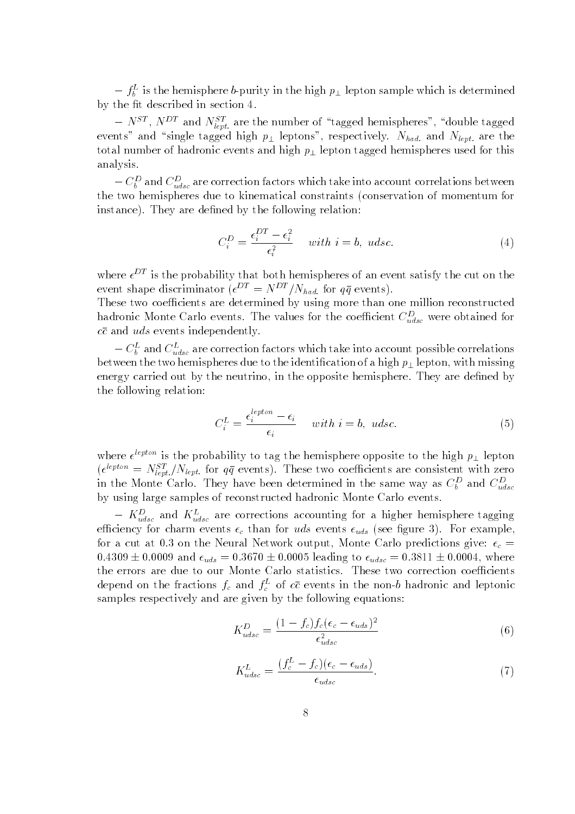$f = f_k$  is the hemisphere  $\theta$ -purity in the high  $p_{\perp}$  lepton sample which is determined by the fit described in section 4.

 $N$ , N and  $N_{lert}$  are the number of  $\tau$  tagged hemispheres", double tagged events" and "single tagged high  $p_{\perp}$  leptons", respectively.  $N_{had.}$  and  $N_{lept.}$  are the total number of hadronic events and high  $p_{\perp}$  lepton tagged hemispheres used for this analysis.

 $-\overline{C_b}$  and  $\overline{C_{udsc}}$  are correction factors which take into account correlations between the two hemispheres due to kinematical constraints (conservation of momentum for instance). They are defined by the following relation:

$$
C_i^D = \frac{\epsilon_i^{DT} - \epsilon_i^2}{\epsilon_i^2} \quad \text{with } i = b, \text{ udsc.} \tag{4}
$$

where  $\epsilon^{DT}$  is the probability that both hemispheres of an event satisfy the cut on the event shape discriminator  $\epsilon^{DT} = N^{DT}/N_{had}$  for  $q\bar{q}$  events).

These two coefficients are determined by using more than one million reconstructed hadronic Monte Carlo events. The values for the coefficient  $C_{udsc}^-$  were obtained for  $c\bar{c}$  and uds events independently.

 $-C_b$  and  $C_{udsc}$  are correction factors which take into account possible correlations between the two hemispheres due to the identification of a high  $p_{\perp}$  lepton, with missing energy carried out by the neutrino, in the opposite hemisphere. They are defined by the following relation:

$$
C_i^L = \frac{\epsilon_i^{lepton} - \epsilon_i}{\epsilon_i} \quad with \ i = b, \ udsc. \tag{5}
$$

where  $\epsilon$  is the probability to tag the hemisphere opposite to the high  $p_{\perp}$  lepton  $\ell^{e}_{\ell}$  =  $N_{lept}$  / $N_{lept}$  for qq events). These two coefficients are consistent with zero in the Monte Carlo. They have been determined in the same way as  $\mathcal{C}_b$  and  $\mathcal{C}_{\textit{udes}}$ by using large samples of reconstructed hadronic Monte Carlo events.

 $-\mathbf{r}_{u\,dsc}$  and  $\mathbf{r}_{u\,dsc}$  are corrections accounting for a higher hemisphere tagging efficiency for charm events  $\epsilon_c$  than for uds events  $\epsilon_{uds}$  (see figure 3). For example, for a cut at 0.3 on the Neural Network output, Monte Carlo predictions give:  $\epsilon_c$  = 0.4309 ± 0.0009 and  $\epsilon_{uds} = 0.3670 \pm 0.0005$  leading to  $\epsilon_{udsc} = 0.3811 \pm 0.0004$ , where the errors are due to our Monte Carlo statistics. These two correction coefficients depend on the fractions  $f_c$  and  $f_c^-$  of cc events in the non-b hadronic and leptonic samples respectively and are given by the following equations:

$$
K_{udsc}^D = \frac{(1 - f_c)f_c(\epsilon_c - \epsilon_{uds})^2}{\epsilon_{udssc}^2} \tag{6}
$$

$$
K_{udsc}^L = \frac{(f_c^L - f_c)(\epsilon_c - \epsilon_{uds})}{\epsilon_{udsc}}.
$$
\n(7)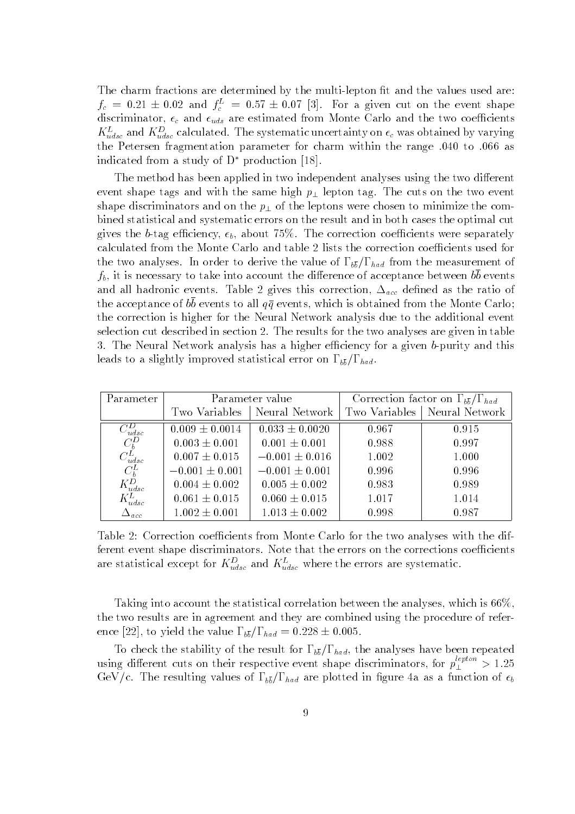The charm fractions are determined by the multi-lepton fit and the values used are:  $f_c = 0.21 \pm 0.02$  and  $f_c = 0.37 \pm 0.07$  [3]. For a given cut on the event shape discriminator,  $\epsilon_c$  and  $\epsilon_{uds}$  are estimated from Monte Carlo and the two coefficients  $K_{udsc}$  and  $K_{udsc}$  calculated. The systematic uncertainty on  $\epsilon_c$  was obtained by varying the Petersen fragmentation parameter for charm within the range .040 to .066 as indicated from a study of  $D^*$  production [18].

The method has been applied in two independent analyses using the two different event shape tags and with the same high  $p_{\perp}$  lepton tag. The cuts on the two event shape discriminators and on the  $p_{\perp}$  of the leptons were chosen to minimize the combined statistical and systematic errors on the result and in both cases the optimal cut gives the b-tag efficiency,  $\epsilon_b$ , about 75%. The correction coefficients were separately calculated from the Monte Carlo and table 2 lists the correction coefficients used for the two analyses. In order to derive the value of  $\Gamma_{b\bar{b}}/\Gamma_{had}$  from the measurement of  $f_b$ , it is necessary to take into account the difference of acceptance between  $b\overline{b}$  events and all hadronic events. Table 2 gives this correction,  $\Delta_{acc}$  defined as the ratio of the acceptance of *60* events to all *qq* events, which is obtained from the Monte Carlo, the correction is higher for the Neural Network analysis due to the additional event selection cut described in section 2. The results for the two analyses are given in table 3. The Neural Network analysis has a higher efficiency for a given b-purity and this leads to a slightly improved statistical error on  $\Gamma_{b\overline{b}}/\Gamma_{had}$ .

| Parameter      | Parameter value    |                                | Correction factor on $\Gamma_{b\overline{b}}/\Gamma_{had}$ |                                |
|----------------|--------------------|--------------------------------|------------------------------------------------------------|--------------------------------|
|                |                    | Two Variables   Neural Network |                                                            | Two Variables   Neural Network |
| udsc           | $0.009 \pm 0.0014$ | $0.033 \pm 0.0020$             | 0.967                                                      | 0.915                          |
| $C_b^D$        | $0.003 \pm 0.001$  | $0.001 \pm 0.001$              | 0.988                                                      | 0.997                          |
| $C^{L}_{udsc}$ | $0.007 \pm 0.015$  | $-0.001 \pm 0.016$             | 1.002                                                      | 1.000                          |
| $C_k^L$        | $-0.001 \pm 0.001$ | $-0.001 \pm 0.001$             | 0.996                                                      | 0.996                          |
| $K_{udsc}^D$   | $0.004 \pm 0.002$  | $0.005 \pm 0.002$              | 0.983                                                      | 0.989                          |
| $K_{udsc}^L$   | $0.061 \pm 0.015$  | $0.060 \pm 0.015$              | 1.017                                                      | 1.014                          |
| $\Delta_{acc}$ | $1.002 \pm 0.001$  | $1.013 \pm 0.002$              | 0.998                                                      | 0.987                          |

Table 2: Correction coefficients from Monte Carlo for the two analyses with the different event shape discriminators. Note that the errors on the corrections coefficients are statistical except for  $K_{udsc}$  and  $K_{udsc}$  where the errors are systematic.

Taking into account the statistical correlation between the analyses, which is 66%, the two results are in agreement and they are combined using the procedure of reference [22], to yield the value  $\Gamma_{b\overline{b}}/\Gamma_{had} = 0.228 \pm 0.005$ .

To check the stability of the result for be $_{00}$  p  $_{hwa}$ , the analyses have been repeated. using different cuts on their respective event shape discriminators, for  $p_1^{new} > 1.25$  $\sigma$  results of the resulting values of  $\sigma$  by  $\sigma$  had are plotted in  $\sigma$  are plotted in basis ( )  $\sigma$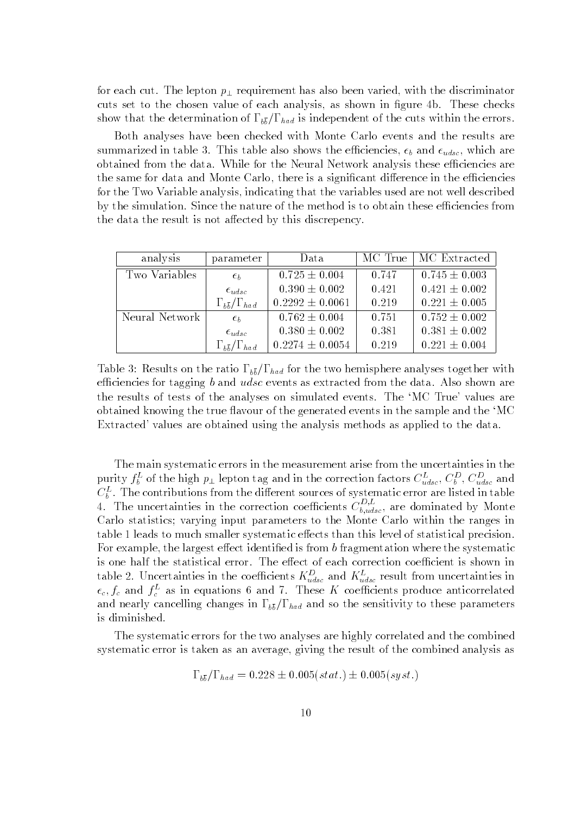for each cut. The lepton  $p_{\perp}$  requirement has also been varied, with the discriminator cuts set to the chosen value of each analysis, as shown in figure 4b. These checks show that the determination of  $\Gamma_{b\bar{b}}/\Gamma_{had}$  is independent of the cuts within the errors.

Both analyses have been checked with Monte Carlo events and the results are summarized in table 3. This table also shows the efficiencies,  $\epsilon_b$  and  $\epsilon_{udsc}$ , which are obtained from the data. While for the Neural Network analysis these efficiencies are the same for data and Monte Carlo, there is a significant difference in the efficiencies for the Two Variable analysis, indicating that the variables used are not well described by the simulation. Since the nature of the method is to obtain these efficiencies from the data the result is not affected by this discrepency.

| analysis       | parameter                             | Data                |       | MC True   MC Extracted |
|----------------|---------------------------------------|---------------------|-------|------------------------|
| Two Variables  | $\epsilon_{h}$                        | $0.725 \pm 0.004$   | 0.747 | $0.745 \pm 0.003$      |
|                | $\epsilon_{udsc}$                     | $0.390 \pm 0.002$   | 0.421 | $0.421 \pm 0.002$      |
|                | $\Gamma_{b\overline{b}}/\Gamma_{had}$ | $0.2292 \pm 0.0061$ | 0.219 | $0.221 \pm 0.005$      |
| Neural Network | $\epsilon_b$                          | $0.762 \pm 0.004$   | 0.751 | $0.752 \pm 0.002$      |
|                | $\epsilon_{udsc}$                     | $0.380 \pm 0.002$   | 0.381 | $0.381 \pm 0.002$      |
|                | $\Gamma_{b\overline{b}}/\Gamma_{had}$ | $0.2274 \pm 0.0054$ | 0.219 | $0.221 \pm 0.004$      |

 $\sim$  1. Results on the two hemisphere and for the two hemisphere analyses together with  $\sim$ efficiencies for tagging b and  $udsc$  events as extracted from the data. Also shown are the results of tests of the analyses on simulated events. The `MC True' values are obtained knowing the true flavour of the generated events in the sample and the 'MC Extracted' values are obtained using the analysis methods as applied to the data.

The main systematic errors in the measurement arise from the uncertainties in the purity  $f_b^*$  of the high  $p_{\perp}$  lepton tag and in the correction factors  $\cup_{udsc}^{-1}, \cup_{udsc}^{+}$  and  $C_b^{\Gamma}$ . The contributions from the different sources of systematic error are fisted in table 4. The uncertainties in the correction coefficients  $C_{b, u d s c}$ , are dominated by Monte Carlo statistics; varying input parameters to the Monte Carlo within the ranges in table 1 leads to much smaller systematic effects than this level of statistical precision. For example, the largest effect identified is from  $b$  fragmentation where the systematic table 2. Oncertainties in the coemcients  $K_{udsc}^{-1}$  and  $K_{udsc}^{-1}$  result from uncertainties in  $\epsilon_c, f_c$  and  $f_c$  as in equations 6 and 7. These K coefficients produce anticorrelated and nearly cancelling changes in  $\Gamma_{b\overline{b}}/\Gamma_{had}$  and so the sensitivity to these parameters is diminished.

The systematic errors for the two analyses are highly correlated and the combined systematic error is taken as an average, giving the result of the combined analysis as

$$
\Gamma_{b\overline{b}}/\Gamma_{had} = 0.228 \pm 0.005(stat.) \pm 0.005(syst.)
$$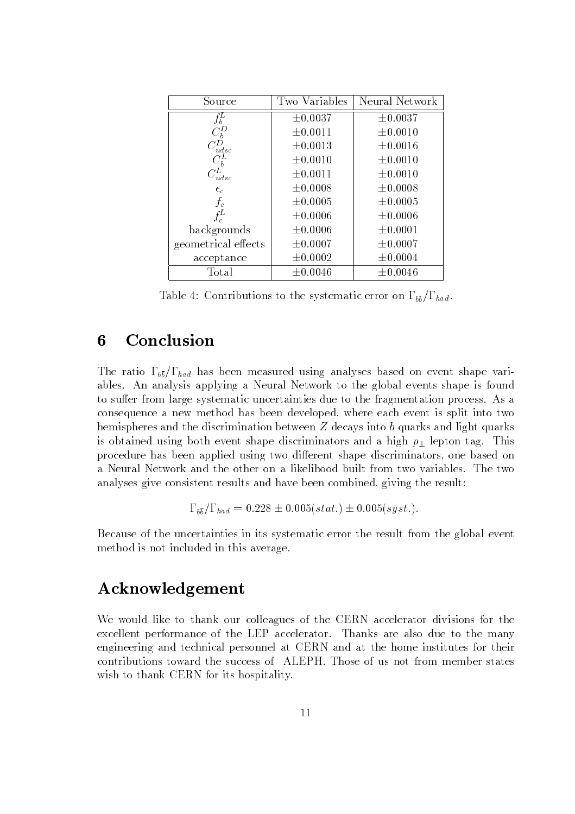| Source                  | Two Variables | Neural Network |
|-------------------------|---------------|----------------|
|                         | $\pm 0.0037$  | $\pm 0.0037$   |
|                         | $\pm 0.0011$  | $\pm 0.0010$   |
| $C^{D}_{udsc} \over T}$ | $\pm 0.0013$  | $\pm 0.0016$   |
|                         | $\pm 0.0010$  | $\pm 0.0010$   |
| $C^L_{udsc}$            | $\pm 0.0011$  | ±0.0010        |
| $\epsilon_c$            | $\pm 0.0008$  | $\pm 0.0008$   |
| $f_c$                   | $\pm 0.0005$  | $\pm 0.0005$   |
| $f_c^L$                 | $\pm 0.0006$  | $\pm 0.0006$   |
| backgrounds             | $\pm 0.0006$  | $\pm 0.0001$   |
| geometrical effects     | $\pm 0.0007$  | ±0.0007        |
| acceptance              | $\pm 0.0002$  | $\pm 0.0004$   |
| Total                   | $\pm 0.0046$  | $\pm 0.0046$   |

 $\frac{1}{2}$  and  $\frac{1}{2}$  is the state systematic error on both  $\frac{1}{2}$  becomes the systematic error on both  $\frac{1}{2}$ 

## 6 Conclusion

The ratio  $\Gamma_{b\bar{b}}/\Gamma_{had}$  has been measured using analyses based on event shape variables. An analysis applying a Neural Network to the global events shape is found to suffer from large systematic uncertainties due to the fragmentation process. As a consequence a new method has been developed, where each event is split into two hemispheres and the discrimination between Z decays into b quarks and light quarks is obtained using both event shape discriminators and a high  $p_{\perp}$  lepton tag. This procedure has been applied using two different shape discriminators, one based on a Neural Network and the other on a likelihood built from two variables. The two analyses give consistent results and have been combined, giving the result:

$$
\Gamma_{b\overline{b}}/\Gamma_{had} = 0.228 \pm 0.005(stat.) \pm 0.005(syst.).
$$

Because of the uncertainties in its systematic error the result from the global event method is not included in this average.

## Acknowledgement

We would like to thank our colleagues of the CERN accelerator divisions for the excellent performance of the LEP accelerator. Thanks are also due to the many engineering and technical personnel at CERN and at the home institutes for their contributions toward the success of ALEPH. Those of us not from member states wish to thank CERN for its hospitality.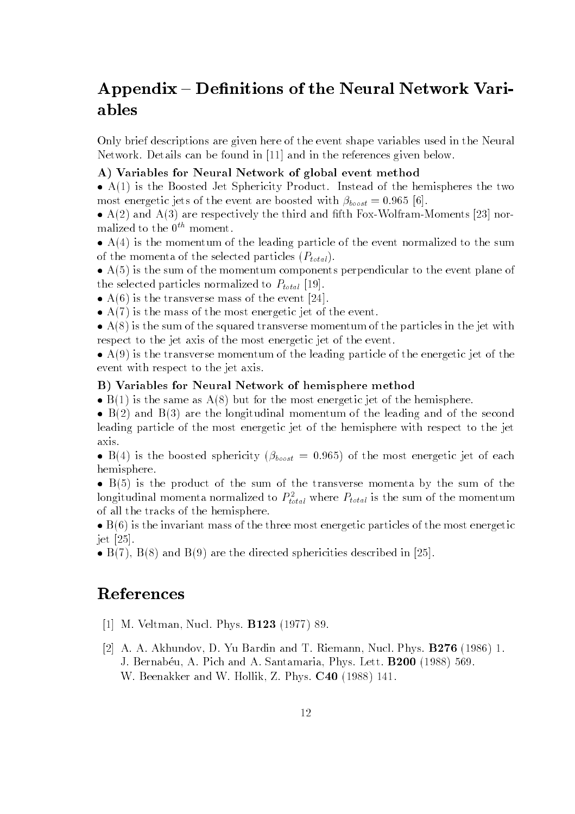# $\bf Appendix$  – Definitions of the Neural Network Variables

Only brief descriptions are given here of the event shape variables used in the Neural Network. Details can be found in [11] and in the references given below.

#### A) Variables for Neural Network of global event method

 $\bullet$  A(1) is the Boosted Jet Sphericity Product. Instead of the hemispheres the two most energetic jets of the event are boosted with  $\beta_{boost} = 0.965$  [6].

 $\bullet$  A(2) and A(3) are respectively the third and fifth Fox-Wolfram-Moments [23] normalized to the  $0^{th}$  moment.

 $\bullet$  A(4) is the momentum of the leading particle of the event normalized to the sum of the momenta of the selected particles  $(P_{total})$ .

 $\bullet$  A(5) is the sum of the momentum components perpendicular to the event plane of the selected particles normalized to  $P_{total}$  [19].

•  $A(6)$  is the transverse mass of the event [24].

 $\bullet$  A(7) is the mass of the most energetic jet of the event.

 $\bullet$  A(8) is the sum of the squared transverse momentum of the particles in the jet with respect to the jet axis of the most energetic jet of the event.

 $\bullet$  A(9) is the transverse momentum of the leading particle of the energetic jet of the event with respect to the jet axis.

#### B) Variables for Neural Network of hemisphere method

 $\bullet$  B(1) is the same as A(8) but for the most energetic jet of the hemisphere.

 $\bullet$  B(2) and B(3) are the longitudinal momentum of the leading and of the second leading particle of the most energetic jet of the hemisphere with respect to the jet axis.

• B(4) is the boosted sphericity ( $\beta_{boost} = 0.965$ ) of the most energetic jet of each hemisphere.

 B(5) is the product of the sum of the transverse momenta by the sum of the iongitudinal momenta normalized to  $P_{total}$  where  $P_{total}$  is the sum of the momentum of all the tracks of the hemisphere.

 $\bullet$  B(6) is the invariant mass of the three most energetic particles of the most energetic jet [25].

 $\bullet$  B(7), B(8) and B(9) are the directed sphericities described in [25].

### References

- [1] M. Veltman, Nucl. Phys. B123 (1977) 89.
- [2] A. A. Akhundov, D. Yu Bardin and T. Riemann, Nucl. Phys. B276 (1986) 1. J. Bernabéu, A. Pich and A. Santamaria, Phys. Lett. **B200** (1988) 569. W. Beenakker and W. Hollik, Z. Phys. C40 (1988) 141.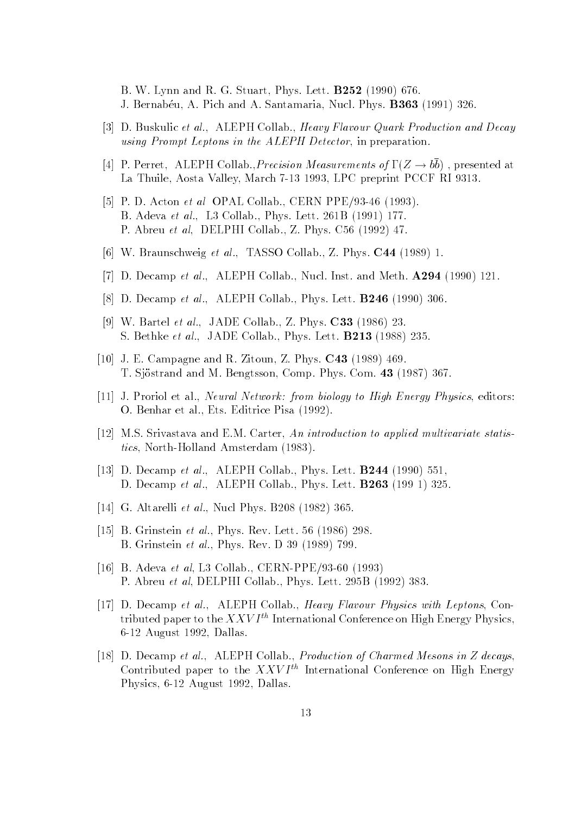B. W. Lynn and R. G. Stuart, Phys. Lett. B252 (1990) 676. J. Bernabéu, A. Pich and A. Santamaria, Nucl. Phys. B363 (1991) 326.

- [3] D. Buskulic et al., ALEPH Collab., Heavy Flavour Quark Production and Decay using Prompt Leptons in the ALEPH Detector, in preparation.
- $\left[4\right]$  P. Ferret, ALET II Conab., *Pression Measurements of*  $\left(2\right) \rightarrow 00$ , presented at La Thuile, Aosta Valley, March 7-13 1993, LPC preprint PCCF RI 9313.
- [5] P. D. Acton et al OPAL Collab., CERN PPE/93-46 (1993). B. Adeva et al., L3 Collab., Phys. Lett. 261B (1991) 177. P. Abreu et al, DELPHI Collab., Z. Phys. C56 (1992) 47.
- [6] W. Braunschweig et al., TASSO Collab., Z. Phys. C44 (1989) 1.
- [7] D. Decamp et al., ALEPH Collab., Nucl. Inst. and Meth.  $\mathbf{A294}$  (1990) 121.
- [8] D. Decamp et al., ALEPH Collab., Phys. Lett. **B246** (1990) 306.
- [9] W. Bartel et al., JADE Collab., Z. Phys. C33 (1986) 23. S. Bethke *et al.*, JADE Collab., Phys. Lett. **B213** (1988) 235.
- [10] J. E. Campagne and R. Zitoun, Z. Phys. C43 (1989) 469. T. Sjostrand and M. Bengtsson, Comp. Phys. Com. 43 (1987) 367.
- [11] J. Proriol et al., Neural Network: from biology to High Energy Physics, editors: O. Benhar et al., Ets. Editrice Pisa (1992).
- [12] M.S. Srivastava and E.M. Carter, An introduction to applied multivariate statistics, North-Holland Amsterdam (1983).
- [13] D. Decamp et al., ALEPH Collab., Phys. Lett. **B244** (1990) 551, D. Decamp et al., ALEPH Collab., Phys. Lett.  $\bf{B263}$  (199 1) 325.
- [14] G. Altarelli *et al.*, Nucl Phys. B208 (1982) 365.
- [15] B. Grinstein et al., Phys. Rev. Lett. 56 (1986) 298. B. Grinstein et al., Phys. Rev. D 39 (1989) 799.
- [16] B. Adeva et al, L3 Collab., CERN-PPE/93-60 (1993) P. Abreu et al, DELPHI Collab., Phys. Lett. 295B (1992) 383.
- [17] D. Decamp et al., ALEPH Collab., Heavy Flavour Physics with Leptons, Contributed paper to the  $XXVI^{th}$  International Conference on High Energy Physics, 6-12 August 1992, Dallas.
- [18] D. Decamp et al., ALEPH Collab., Production of Charmed Mesons in Z decays, Contributed paper to the  $XXVI^{th}$  International Conference on High Energy Physics, 6-12 August 1992, Dallas.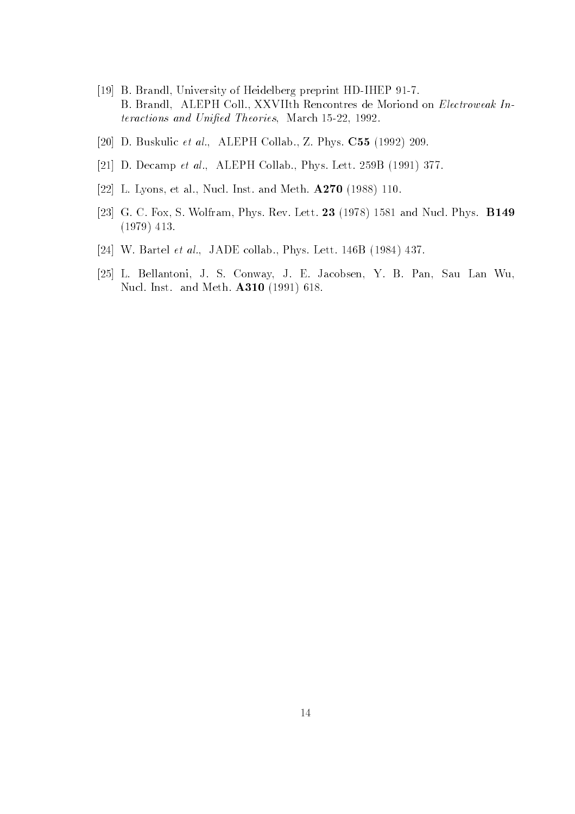- [19] B. Brandl, University of Heidelberg preprint HD-IHEP 91-7. B. Brandl, ALEPH Coll., XXVIIth Rencontres de Moriond on Electroweak Interactions and Unified Theories, March 15-22, 1992.
- [20] D. Buskulic et al., ALEPH Collab., Z. Phys. C55 (1992) 209.
- [21] D. Decamp et al., ALEPH Collab., Phys. Lett. 259B (1991) 377.
- [22] L. Lyons, et al., Nucl. Inst. and Meth. A270 (1988) 110.
- [23] G. C. Fox, S. Wolfram, Phys. Rev. Lett. 23 (1978) 1581 and Nucl. Phys. B149 (1979) 413.
- [24] W. Bartel *et al.*, JADE collab., Phys. Lett. 146B (1984) 437.
- [25] L. Bellantoni, J. S. Conway, J. E. Jacobsen, Y. B. Pan, Sau Lan Wu, Nucl. Inst. and Meth. A310 (1991) 618.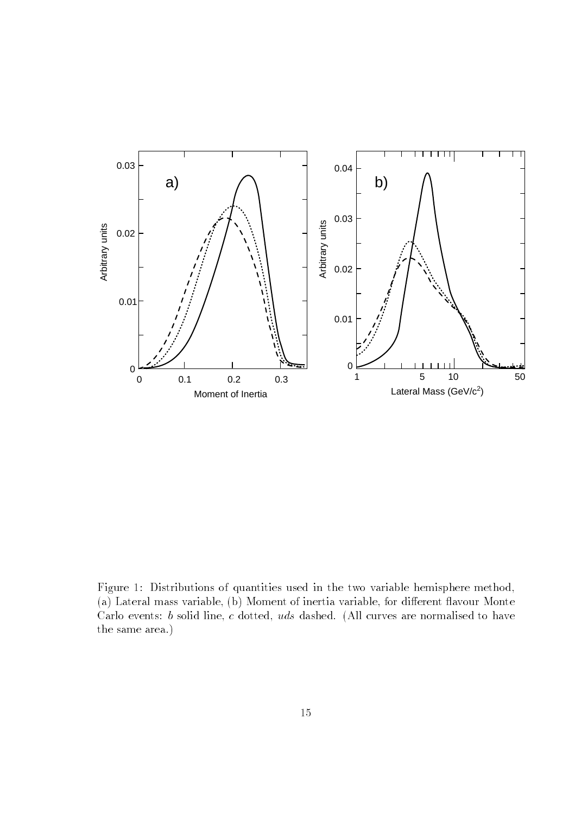

Figure 1: Distributions of quantities used in the two variable hemisphere method, (a) Lateral mass variable, (b) Moment of inertia variable, for different flavour Monte Carlo events: <sup>b</sup> solid line, <sup>c</sup> dotted, uds dashed. (All curves are normalised to have the same area.)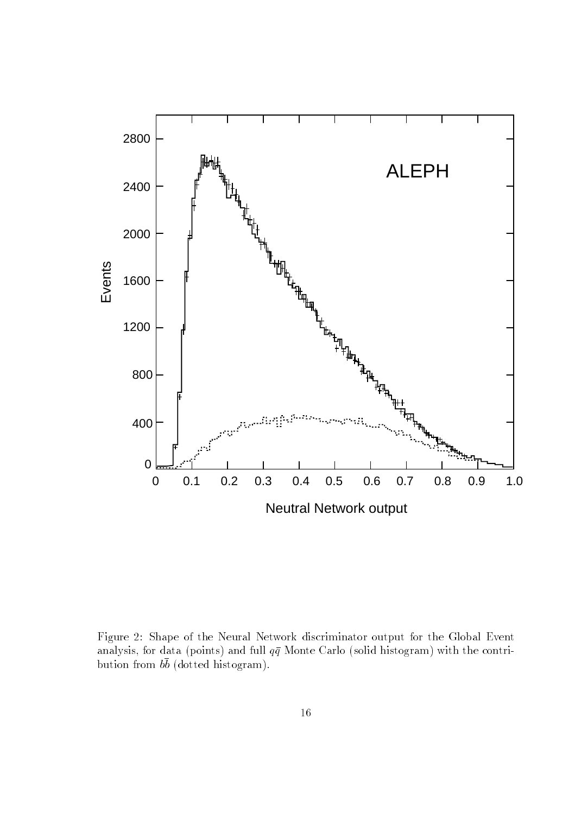

Figure 2: Shape of the Neural Network discriminator output for the Global Event analysis, for data (points) and full  $q\bar{q}$  Monte Carlo (solid histogram) with the contribution from b <sup>b</sup> (dotted histogram).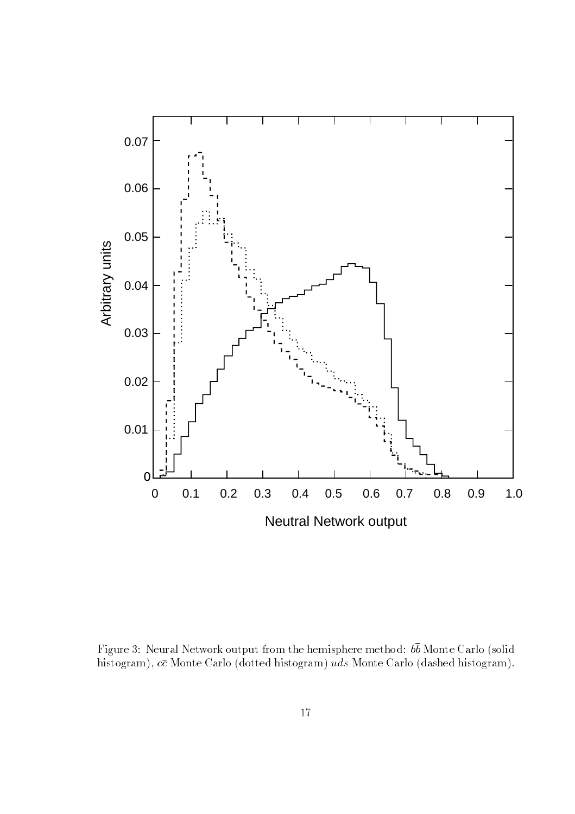

Figure 3: Neural Network output from the hemisphere method: b <sup>b</sup> Monte Carlo (solid histogram),  $c\bar{c}$  Monte Carlo (dotted histogram) uds Monte Carlo (dashed histogram).